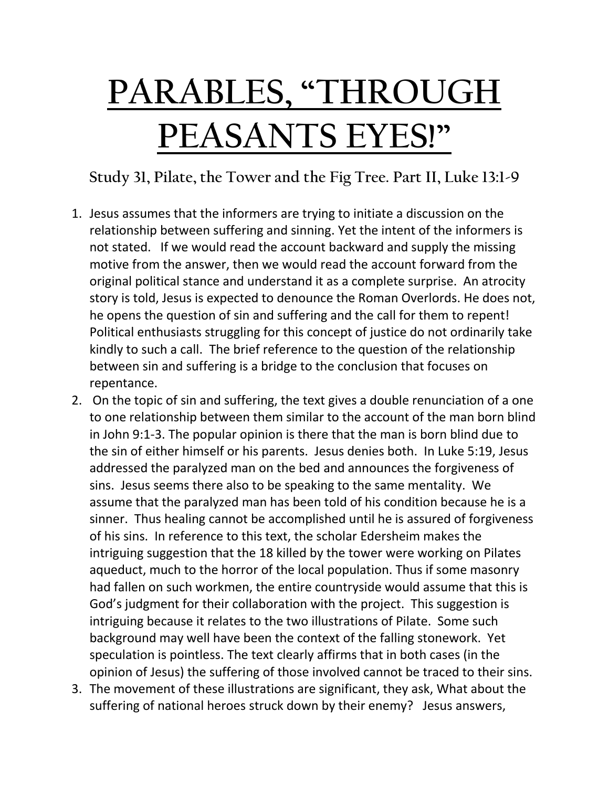## **PARABLES, "THROUGH PEASANTS EYES!"**

**Study 31, Pilate, the Tower and the Fig Tree. Part II, Luke 13:1-9**

- 1. Jesus assumes that the informers are trying to initiate a discussion on the relationship between suffering and sinning. Yet the intent of the informers is not stated. If we would read the account backward and supply the missing motive from the answer, then we would read the account forward from the original political stance and understand it as a complete surprise. An atrocity story is told, Jesus is expected to denounce the Roman Overlords. He does not, he opens the question of sin and suffering and the call for them to repent! Political enthusiasts struggling for this concept of justice do not ordinarily take kindly to such a call. The brief reference to the question of the relationship between sin and suffering is a bridge to the conclusion that focuses on repentance.
- 2. On the topic of sin and suffering, the text gives a double renunciation of a one to one relationship between them similar to the account of the man born blind in John 9:1-3. The popular opinion is there that the man is born blind due to the sin of either himself or his parents. Jesus denies both. In Luke 5:19, Jesus addressed the paralyzed man on the bed and announces the forgiveness of sins. Jesus seems there also to be speaking to the same mentality. We assume that the paralyzed man has been told of his condition because he is a sinner. Thus healing cannot be accomplished until he is assured of forgiveness of his sins. In reference to this text, the scholar Edersheim makes the intriguing suggestion that the 18 killed by the tower were working on Pilates aqueduct, much to the horror of the local population. Thus if some masonry had fallen on such workmen, the entire countryside would assume that this is God's judgment for their collaboration with the project. This suggestion is intriguing because it relates to the two illustrations of Pilate. Some such background may well have been the context of the falling stonework. Yet speculation is pointless. The text clearly affirms that in both cases (in the opinion of Jesus) the suffering of those involved cannot be traced to their sins.
- 3. The movement of these illustrations are significant, they ask, What about the suffering of national heroes struck down by their enemy? Jesus answers,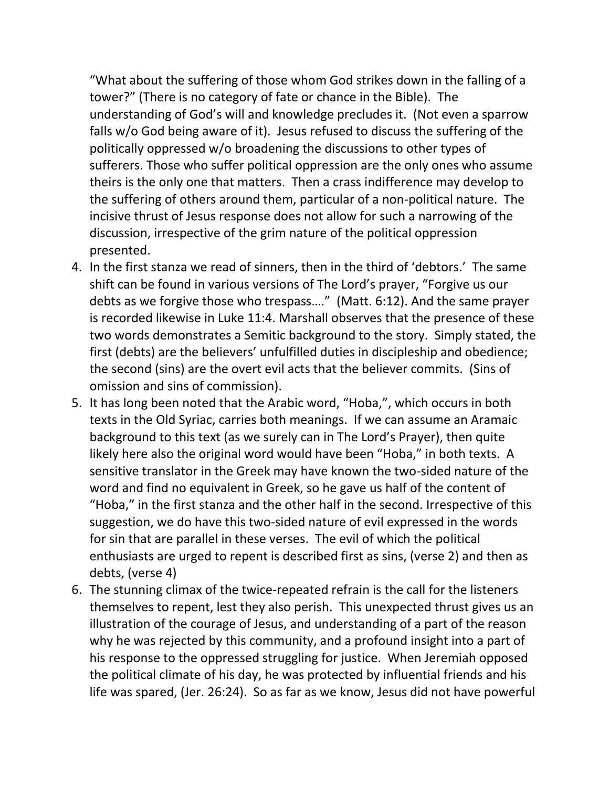"What about the suffering of those whom God strikes down in the falling of a tower?" (There is no category of fate or chance in the Bible). The understanding of God's will and knowledge precludes it. (Not even a sparrow falls w/o God being aware of it). Jesus refused to discuss the suffering of the politically oppressed w/o broadening the discussions to other types of sufferers. Those who suffer political oppression are the only ones who assume theirs is the only one that matters. Then a crass indifference may develop to the suffering of others around them, particular of a non-political nature. The incisive thrust of Jesus response does not allow for such a narrowing of the discussion, irrespective of the grim nature of the political oppression presented.

- 4. In the first stanza we read of sinners, then in the third of 'debtors.' The same shift can be found in various versions of The Lord's prayer, "Forgive us our debts as we forgive those who trespass…." (Matt. 6:12). And the same prayer is recorded likewise in Luke 11:4. Marshall observes that the presence of these two words demonstrates a Semitic background to the story. Simply stated, the first (debts) are the believers' unfulfilled duties in discipleship and obedience; the second (sins) are the overt evil acts that the believer commits. (Sins of omission and sins of commission).
- 5. It has long been noted that the Arabic word, "Hoba,", which occurs in both texts in the Old Syriac, carries both meanings. If we can assume an Aramaic background to this text (as we surely can in The Lord's Prayer), then quite likely here also the original word would have been "Hoba," in both texts. A sensitive translator in the Greek may have known the two-sided nature of the word and find no equivalent in Greek, so he gave us half of the content of "Hoba," in the first stanza and the other half in the second. Irrespective of this suggestion, we do have this two-sided nature of evil expressed in the words for sin that are parallel in these verses. The evil of which the political enthusiasts are urged to repent is described first as sins, (verse 2) and then as debts, (verse 4)
- 6. The stunning climax of the twice-repeated refrain is the call for the listeners themselves to repent, lest they also perish. This unexpected thrust gives us an illustration of the courage of Jesus, and understanding of a part of the reason why he was rejected by this community, and a profound insight into a part of his response to the oppressed struggling for justice. When Jeremiah opposed the political climate of his day, he was protected by influential friends and his life was spared, (Jer. 26:24). So as far as we know, Jesus did not have powerful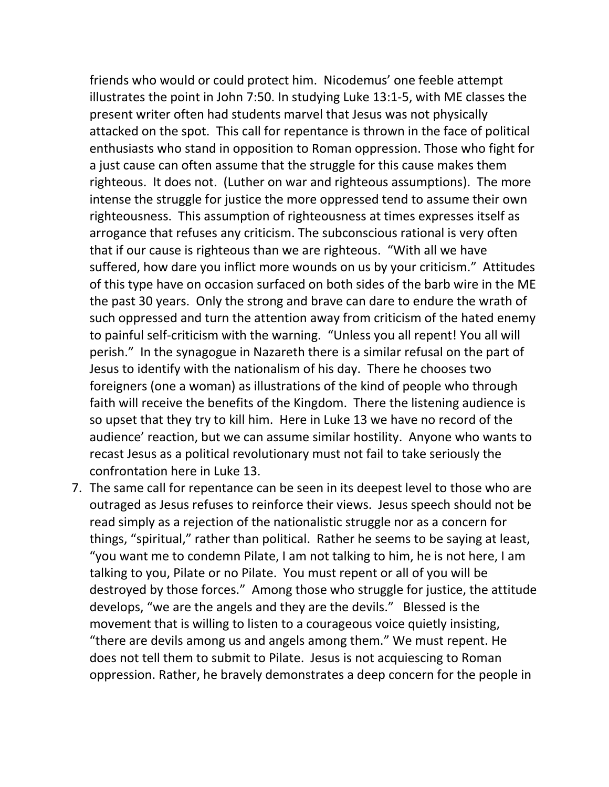friends who would or could protect him. Nicodemus' one feeble attempt illustrates the point in John 7:50. In studying Luke 13:1-5, with ME classes the present writer often had students marvel that Jesus was not physically attacked on the spot. This call for repentance is thrown in the face of political enthusiasts who stand in opposition to Roman oppression. Those who fight for a just cause can often assume that the struggle for this cause makes them righteous. It does not. (Luther on war and righteous assumptions). The more intense the struggle for justice the more oppressed tend to assume their own righteousness. This assumption of righteousness at times expresses itself as arrogance that refuses any criticism. The subconscious rational is very often that if our cause is righteous than we are righteous. "With all we have suffered, how dare you inflict more wounds on us by your criticism." Attitudes of this type have on occasion surfaced on both sides of the barb wire in the ME the past 30 years. Only the strong and brave can dare to endure the wrath of such oppressed and turn the attention away from criticism of the hated enemy to painful self-criticism with the warning. "Unless you all repent! You all will perish." In the synagogue in Nazareth there is a similar refusal on the part of Jesus to identify with the nationalism of his day. There he chooses two foreigners (one a woman) as illustrations of the kind of people who through faith will receive the benefits of the Kingdom. There the listening audience is so upset that they try to kill him. Here in Luke 13 we have no record of the audience' reaction, but we can assume similar hostility. Anyone who wants to recast Jesus as a political revolutionary must not fail to take seriously the confrontation here in Luke 13.

7. The same call for repentance can be seen in its deepest level to those who are outraged as Jesus refuses to reinforce their views. Jesus speech should not be read simply as a rejection of the nationalistic struggle nor as a concern for things, "spiritual," rather than political. Rather he seems to be saying at least, "you want me to condemn Pilate, I am not talking to him, he is not here, I am talking to you, Pilate or no Pilate. You must repent or all of you will be destroyed by those forces." Among those who struggle for justice, the attitude develops, "we are the angels and they are the devils." Blessed is the movement that is willing to listen to a courageous voice quietly insisting, "there are devils among us and angels among them." We must repent. He does not tell them to submit to Pilate. Jesus is not acquiescing to Roman oppression. Rather, he bravely demonstrates a deep concern for the people in